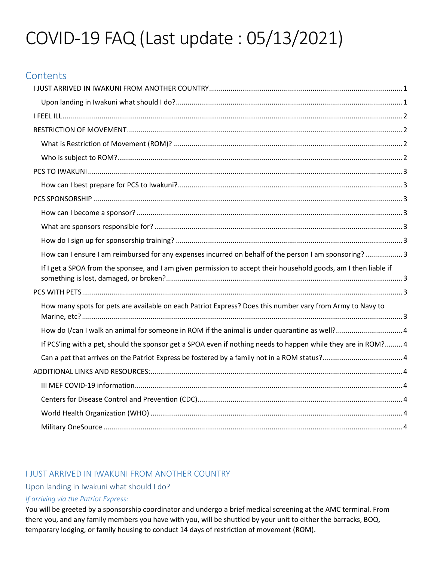# COVID-19 FAQ (Last update : 05/13/2021)

# **Contents**

| How can I ensure I am reimbursed for any expenses incurred on behalf of the person I am sponsoring?3             |  |
|------------------------------------------------------------------------------------------------------------------|--|
| If I get a SPOA from the sponsee, and I am given permission to accept their household goods, am I then liable if |  |
|                                                                                                                  |  |
| How many spots for pets are available on each Patriot Express? Does this number vary from Army to Navy to        |  |
| How do I/can I walk an animal for someone in ROM if the animal is under quarantine as well?4                     |  |
| If PCS'ing with a pet, should the sponsor get a SPOA even if nothing needs to happen while they are in ROM? 4    |  |
|                                                                                                                  |  |
|                                                                                                                  |  |
|                                                                                                                  |  |
|                                                                                                                  |  |
|                                                                                                                  |  |
|                                                                                                                  |  |

# I JUST ARRIVED IN IWAKUNI FROM ANOTHER COUNTRY

## Upon landing in Iwakuni what should I do?

#### If arriving via the Patriot Express:

You will be greeted by a sponsorship coordinator and undergo a brief medical screening at the AMC terminal. From there you, and any family members you have with you, will be shuttled by your unit to either the barracks, BOQ, temporary lodging, or family housing to conduct 14 days of restriction of movement (ROM).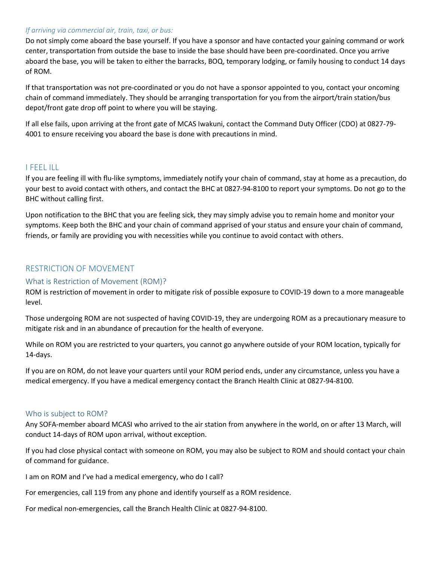#### If arriving via commercial air, train, taxi, or bus:

Do not simply come aboard the base yourself. If you have a sponsor and have contacted your gaining command or work center, transportation from outside the base to inside the base should have been pre-coordinated. Once you arrive aboard the base, you will be taken to either the barracks, BOQ, temporary lodging, or family housing to conduct 14 days of ROM.

If that transportation was not pre-coordinated or you do not have a sponsor appointed to you, contact your oncoming chain of command immediately. They should be arranging transportation for you from the airport/train station/bus depot/front gate drop off point to where you will be staying.

If all else fails, upon arriving at the front gate of MCAS Iwakuni, contact the Command Duty Officer (CDO) at 0827-79- 4001 to ensure receiving you aboard the base is done with precautions in mind.

#### I FEEL ILL

If you are feeling ill with flu-like symptoms, immediately notify your chain of command, stay at home as a precaution, do your best to avoid contact with others, and contact the BHC at 0827-94-8100 to report your symptoms. Do not go to the BHC without calling first.

Upon notification to the BHC that you are feeling sick, they may simply advise you to remain home and monitor your symptoms. Keep both the BHC and your chain of command apprised of your status and ensure your chain of command, friends, or family are providing you with necessities while you continue to avoid contact with others.

#### RESTRICTION OF MOVEMENT

#### What is Restriction of Movement (ROM)?

ROM is restriction of movement in order to mitigate risk of possible exposure to COVID-19 down to a more manageable level.

Those undergoing ROM are not suspected of having COVID-19, they are undergoing ROM as a precautionary measure to mitigate risk and in an abundance of precaution for the health of everyone.

While on ROM you are restricted to your quarters, you cannot go anywhere outside of your ROM location, typically for 14-days.

If you are on ROM, do not leave your quarters until your ROM period ends, under any circumstance, unless you have a medical emergency. If you have a medical emergency contact the Branch Health Clinic at 0827-94-8100.

#### Who is subject to ROM?

Any SOFA-member aboard MCASI who arrived to the air station from anywhere in the world, on or after 13 March, will conduct 14-days of ROM upon arrival, without exception.

If you had close physical contact with someone on ROM, you may also be subject to ROM and should contact your chain of command for guidance.

I am on ROM and I've had a medical emergency, who do I call?

For emergencies, call 119 from any phone and identify yourself as a ROM residence.

For medical non-emergencies, call the Branch Health Clinic at 0827-94-8100.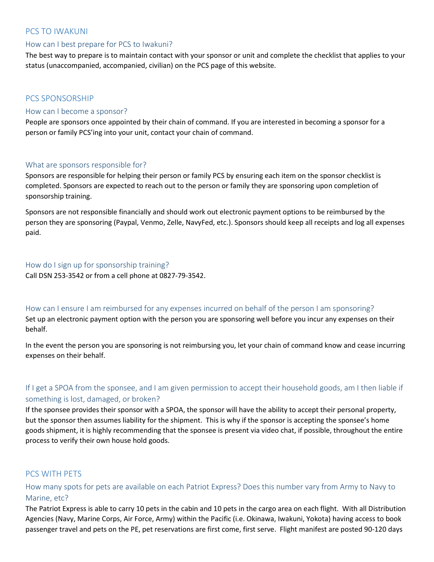### PCS TO IWAKUNI

#### How can I best prepare for PCS to Iwakuni?

The best way to prepare is to maintain contact with your sponsor or unit and complete the checklist that applies to your status (unaccompanied, accompanied, civilian) on the PCS page of this website.

#### PCS SPONSORSHIP

#### How can I become a sponsor?

People are sponsors once appointed by their chain of command. If you are interested in becoming a sponsor for a person or family PCS'ing into your unit, contact your chain of command.

#### What are sponsors responsible for?

Sponsors are responsible for helping their person or family PCS by ensuring each item on the sponsor checklist is completed. Sponsors are expected to reach out to the person or family they are sponsoring upon completion of sponsorship training.

Sponsors are not responsible financially and should work out electronic payment options to be reimbursed by the person they are sponsoring (Paypal, Venmo, Zelle, NavyFed, etc.). Sponsors should keep all receipts and log all expenses paid.

#### How do I sign up for sponsorship training?

Call DSN 253-3542 or from a cell phone at 0827-79-3542.

#### How can I ensure I am reimbursed for any expenses incurred on behalf of the person I am sponsoring?

Set up an electronic payment option with the person you are sponsoring well before you incur any expenses on their behalf.

In the event the person you are sponsoring is not reimbursing you, let your chain of command know and cease incurring expenses on their behalf.

## If I get a SPOA from the sponsee, and I am given permission to accept their household goods, am I then liable if something is lost, damaged, or broken?

If the sponsee provides their sponsor with a SPOA, the sponsor will have the ability to accept their personal property, but the sponsor then assumes liability for the shipment. This is why if the sponsor is accepting the sponsee's home goods shipment, it is highly recommending that the sponsee is present via video chat, if possible, throughout the entire process to verify their own house hold goods.

## PCS WITH PETS

## How many spots for pets are available on each Patriot Express? Does this number vary from Army to Navy to Marine, etc?

The Patriot Express is able to carry 10 pets in the cabin and 10 pets in the cargo area on each flight. With all Distribution Agencies (Navy, Marine Corps, Air Force, Army) within the Pacific (i.e. Okinawa, Iwakuni, Yokota) having access to book passenger travel and pets on the PE, pet reservations are first come, first serve. Flight manifest are posted 90-120 days